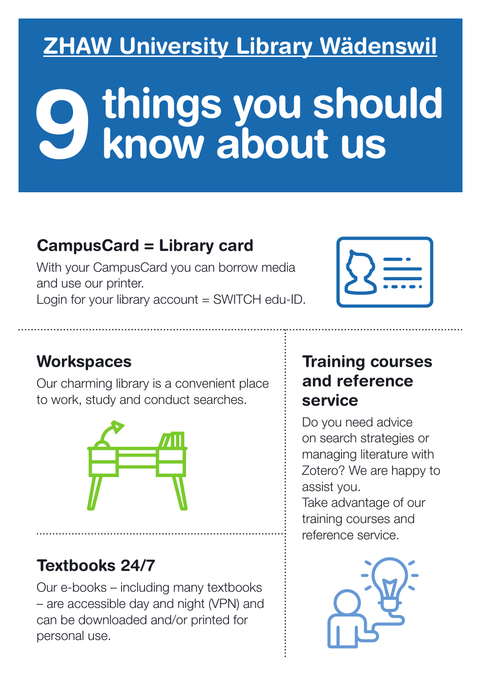# **ZHAW University Library Wädenswil**

# **9 things you should<br>9 know about us**

### CampusCard = Library card

With your CampusCard you can borrow media and use our printer.

Login for your library account = SWITCH edu-ID.

| ----<br>۰ |
|-----------|
|-----------|

#### **Workspaces**

Our charming library is a convenient place to work, study and conduct searches.



# Textbooks 24/7

Our e-books – including many textbooks – are accessible day and night (VPN) and can be downloaded and/or printed for personal use.

#### Training courses and reference service

Do you need advice on search strategies or managing literature with Zotero? We are happy to assist you.

Take advantage of our training courses and reference service.